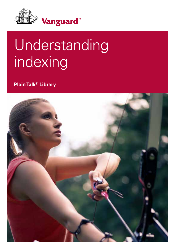

# Understanding indexing

### **Plain Talk® Library**

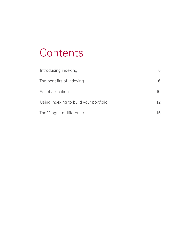# **Contents**

| Introducing indexing                   | 5  |
|----------------------------------------|----|
| The benefits of indexing               | 6  |
| Asset allocation                       | 10 |
| Using indexing to build your portfolio | 12 |
| The Vanguard difference                | 15 |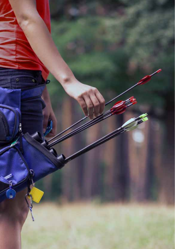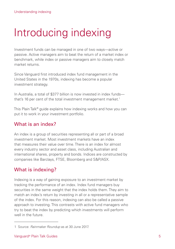# Introducing indexing

Investment funds can be managed in one of two ways—active or passive. Active managers aim to beat the return of a market index or benchmark, while index or passive managers aim to closely match market returns.

Since Vanguard first introduced index fund management in the United States in the 1970s, indexing has become a popular investment strategy.

In Australia, a total of \$377 billion is now invested in index funds that's 16 per cent of the total investment management market.<sup>1</sup>

This Plain Talk® guide explains how indexing works and how you can put it to work in your investment portfolio.

## What is an index?

An index is a group of securities representing all or part of a broad investment market. Most investment markets have an index that measures their value over time. There is an index for almost every industry sector and asset class, including Australian and international shares, property and bonds. Indices are constructed by companies like Barclays, FTSE, Bloomberg and S&P/ASX.

# What is indexing?

Indexing is a way of gaining exposure to an investment market by tracking the performance of an index. Index fund managers buy securities in the same weight that the index holds them. They aim to match an index's return by investing in all or a representative sample of the index. For this reason, indexing can also be called a passive approach to investing. This contrasts with active fund managers who try to beat the index by predicting which investments will perform well in the future.

<sup>1</sup> Source: *Rainmaker Roundup* as at 30 June 2017.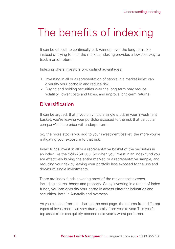# The benefits of indexing

It can be difficult to continually pick winners over the long term. So instead of trying to beat the market, indexing provides a low-cost way to track market returns.

Indexing offers investors two distinct advantages:

- 1. Investing in all or a representation of stocks in a market index can diversify your portfolio and reduce risk.
- 2. Buying and holding securities over the long term may reduce volatility, lower costs and taxes, and improve long-term returns.

### **Diversification**

It can be argued, that if you only hold a single stock in your investment basket, you're leaving your portfolio exposed to the risk that particular company's share price will underperform.

So, the more stocks you add to your investment basket, the more you're mitigating your exposure to that risk.

Index funds invest in all or a representative basket of the securities in an index like the S&P/ASX 300. So when you invest in an index fund you are effectively buying the entire market, or a representative sample, and reducing your risk by leaving your portfolio less exposed to the ups and downs of single investments.

There are index funds covering most of the major asset classes, including shares, bonds and property. So by investing in a range of index funds, you can diversify your portfolio across different industries and securities, both in Australia and overseas.

As you can see from the chart on the next page, the returns from different types of investment can vary dramatically from year to year. This year's top asset class can quickly become next year's worst performer.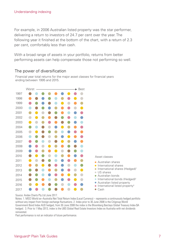For example, in 2006 Australian listed property was the star performer, delivering a return to investors of 24.7 per cent over the year. The following year it finished at the bottom of the chart, with a return of 2.3 per cent, comfortably less than cash.

With a broad range of assets in your portfolio, returns from better performing assets can help compensate those not performing so well.

#### The power of diversification

Financial year total returns for the major asset classes for financial years ending between 1995 and 2015.



Source: Andex Charts Pty Ltd June 2017.

Notes: 1. MSCI World ex–Australia Net Total Return Index (Local Currency) – represents a continuously hedged portfolio without any impact from foreign exchange fluctuations. 2. Index prior to 30 June 2008 is the Citigroup World Government Bond Index AUD hedged, from 30 June 2008 the index is the Bloomberg Barclays Global Treasury Index \$A hedged. 3. Prior to 1 May 2013, index is the UBS Global Real Estate Investors Index ex Australia with net dividends reinvested.

Past performance is not an indicator of future performance.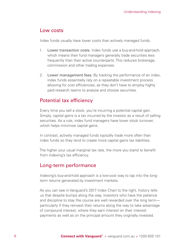#### Low costs

Index funds usually have lower costs than actively managed funds.

- 1. Lower transaction costs. Index funds use a buy-and-hold approach, which means their fund managers generally trade securities less frequently than their active counterparts. This reduces brokerage, commission and other trading expenses.
- 2. Lower management fees. By tracking the performance of an index, index funds essentially rely on a repeatable investment process allowing for cost efficiencies, as they don't have to employ highly paid research teams to analyse and choose securities.

#### Potential tax efficiency

Every time you sell a stock, you're incurring a potential capital gain. Simply, capital gains is a tax incurred by the investor as a result of selling securities. As a rule, index fund managers have lower stock turnover, which helps minimise capital gains.

In contrast, actively managed funds typically trade more often than index funds so they tend to create more capital gains tax liabilities.

The higher your usual marginal tax rate, the more you stand to benefit from indexing's tax efficiency.

### Long-term performance

Indexing's buy-and-hold approach is a low-cost way to tap into the longterm returns generated by investment markets.

As you can see in Vanguard's 2017 Index Chart to the right, history tells us that despite bumps along the way, investors who have the patience and discipline to stay the course are well rewarded over the long term particularly if they reinvest their returns along the way to take advantage of compound interest, where they earn interest on their interest payments as well as on the principal amount they originally invested.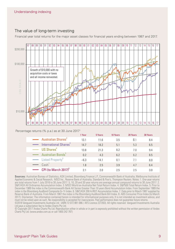#### The value of long-term investing

Financial year total returns for the major asset classes for financial years ending between 1987 and 2017.



Percentage returns (% p.a.) as at 30 June 20171

|                                         | 1 Year | 5 Years | 10 Years | 20 Years | 30 Years |
|-----------------------------------------|--------|---------|----------|----------|----------|
| <b>Australian Shares</b> <sup>2</sup>   | 13.1   | 11.6    | 3.5      | 8.1      | 8.4      |
| International Shares <sup>3</sup>       | 14.7   | 18.2    | 5.1      | 5.3      | 6.5      |
| US Shares <sup>4</sup>                  | 13.8   | 21.3    | 8.2      | 7.0      | 9.4      |
| Australian Bonds <sup>®</sup>           | 0.2    | 4.3     | 6.2      | 6.2      | 8.5      |
| Listed Property <sup>®</sup>            | $-6.3$ | 14.1    | 0.1      | 7.1      | 8.0      |
| Cash'                                   | 1.8    | 2.5     | 3.9      | 4.7      | 6.4      |
| <b>CPI</b> (to March 2017) <sup>8</sup> | 2.1    | 20      | 2.5      | 2.5      | 3 O      |

**Sources:** Australian Bureau of Statistics, ASX Limited, Bloomberg Finance L.P., Commonwealth Bank of Australia, Melbourne Institute of Applied Economic & Social Research, MSCI Inc., Reserve Bank of Australia, Standard & Poor's, Thompson Reuters. Notes: 1. One-year returns<br>are total returns from 1 July 2016 to 30 June 2017. 5, 10, 20 and 30 year returns ar December 1989 the index is the Commonwealth Bank All Series Greater Than 10 years Bond Accumulation Index. From September 1989 the index is the Bloomberg AusBond Composite 0+ Yr Index. 6. S&P/ASX 200 A-REIT Accumulation Index. 7. Data prior to March 1987 supplied by Reserve Bank of Australia. From March 1987 the index is the Bloomberg AusBond Bank Bill Index. 8. ABS Consumer Price Index (to March 2017). Disclaimer: The information contained herein is intended for informational purposes only. It is not intended as investment advice, and must not be relied upon as such. No responsibility is accepted for informational

©2018 Vanguard Investments Australia Ltd. (ABN 72072881086 / AFS Licence 227263). All rights reserved, Vanguard Investments Australia

Ltd pays a subscription fee to Andex Charts Pty Ltd. © Copyright 2017 Andex Charts Pty Ltd. Reproduction either in whole or in part is expressly prohibited without the written permission of Andex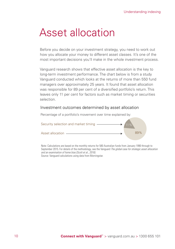# Asset allocation

Before you decide on your investment strategy, you need to work out how you allocate your money to different asset classes. It's one of the most important decisions you'll make in the whole investment process.

Vanguard research shows that effective asset allocation is the key to long-term investment performance. The chart below is from a study Vanguard conducted which looks at the returns of more than 550 fund managers over approximately 25 years. It found that asset allocation was responsible for 89 per cent of a diversified portfolio's return. This leaves only 11 per cent for factors such as market timing or securities selection.

#### Investment outcomes determined by asset allocation

Security selection and market timing Percentage of a portfolio's movement over time explained by: Asset allocation <u>examed a series and a series and a series and a series and a series and a series and a series of  $89\%$ </u>

Note: Calculations are based on the monthly returns for 580 Australian funds from January 1990 through to September 2015. For details of the methodology, see the Vanguard *The global case for strategic asset allocation and an examination of home bias (Scott et al., 2016).* Source: Vanguard calculations using data from Morningstar.

**Connect with Vanguard™** > vanguard.com.au > 1300 655 101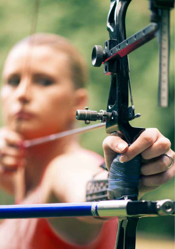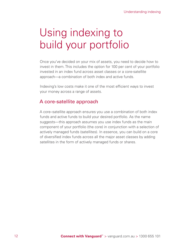# Using indexing to build your portfolio

Once you've decided on your mix of assets, you need to decide how to invest in them. This includes the option for 100 per cent of your portfolio invested in an index fund across asset classes or a core-satellite approach—a combination of both index and active funds.

Indexing's low costs make it one of the most efficient ways to invest your money across a range of assets.

### A core-satellite approach

A core–satellite approach ensures you use a combination of both index funds and active funds to build your desired portfolio. As the name suggests—this approach assumes you use index funds as the main component of your portfolio (the core) in conjunction with a selection of actively managed funds (satellites). In essence, you can build on a core of diversified index funds across all the major asset classes by adding satellites in the form of actively managed funds or shares.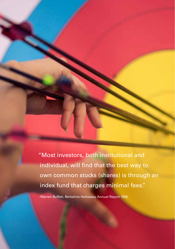"Most investors, both institutional and individual, will find that the best way to own common stocks (shares) is through an index fund that charges minimal fees."

- Warren Buffett, Berkshire Hathaway Annual Report 1996.

Understanding indexing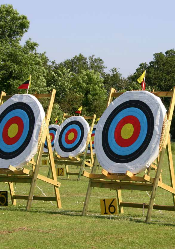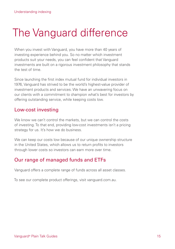# The Vanguard difference

When you invest with Vanguard, you have more than 40 years of investing experience behind you. So no matter which investment products suit your needs, you can feel confident that Vanguard investments are built on a rigorous investment philosophy that stands the test of time.

Since launching the first index mutual fund for individual investors in 1976, Vanguard has strived to be the world's highest-value provider of investment products and services. We have an unwavering focus on our clients with a commitment to champion what's best for investors by offering outstanding service, while keeping costs low.

### Low-cost investing

We know we can't control the markets, but we can control the costs of investing. To that end, providing low-cost investments isn't a pricing strategy for us. It's how we do business.

We can keep our costs low because of our unique ownership structure in the United States, which allows us to return profits to investors through lower costs so investors can earn more over time.

# Our range of managed funds and ETFs

Vanguard offers a complete range of funds across all asset classes.

To see our complete product offerings, visit vanguard.com.au.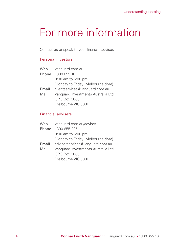# For more information

Contact us or speak to your financial adviser.

#### Personal investors

| Web   | vanguard.com.au                    |
|-------|------------------------------------|
| Phone | 1300 655 101                       |
|       | 8:00 am to 6:00 pm                 |
|       | Monday to Friday (Melbourne time)  |
| Email | clientservices@vanquard.com.au     |
| Mail  | Vanguard Investments Australia Ltd |
|       | GPO Box 3006                       |
|       | Melbourne VIC 3001                 |

#### Financial advisers

| Web   | vanquard.com.au/adviser            |
|-------|------------------------------------|
| Phone | 1300 655 205                       |
|       | 8:00 am to 6:00 pm                 |
|       | Monday to Friday (Melbourne time)  |
| Email | adviserservices@vanquard.com.au    |
| Mail  | Vanguard Investments Australia Ltd |
|       | GPO Box 3006                       |
|       | Melbourne VIC 3001                 |